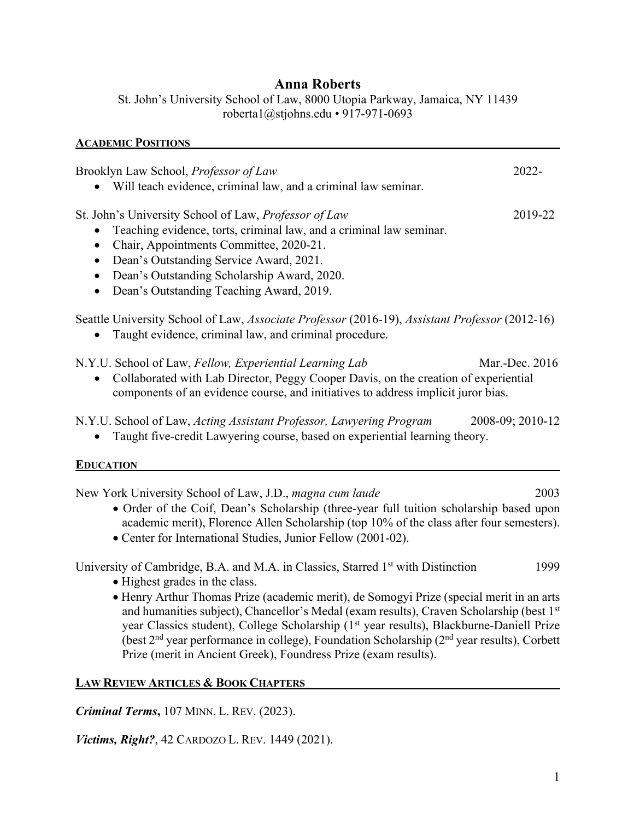## **Anna Roberts**

St. John's University School of Law, 8000 Utopia Parkway, Jamaica, NY 11439 roberta1@stjohns.edu • 917-971-0693

# **ACADEMIC POSITIONS** Brooklyn Law School, *Professor of Law* 2022- • Will teach evidence, criminal law, and a criminal law seminar. St. John's University School of Law, *Professor of Law* 2019-22 • Teaching evidence, torts, criminal law, and a criminal law seminar. • Chair, Appointments Committee, 2020-21. • Dean's Outstanding Service Award, 2021. • Dean's Outstanding Scholarship Award, 2020. • Dean's Outstanding Teaching Award, 2019. Seattle University School of Law, *Associate Professor* (2016-19), *Assistant Professor* (2012-16) • Taught evidence, criminal law, and criminal procedure. N.Y.U. School of Law, *Fellow, Experiential Learning Lab* Mar.-Dec. 2016 • Collaborated with Lab Director, Peggy Cooper Davis, on the creation of experiential components of an evidence course, and initiatives to address implicit juror bias. N.Y.U. School of Law, *Acting Assistant Professor, Lawyering Program* 2008-09; 2010-12 • Taught five-credit Lawyering course, based on experiential learning theory. **EDUCATION** New York University School of Law, J.D., *magna cum laude* 2003 • Order of the Coif, Dean's Scholarship (three-year full tuition scholarship based upon academic merit), Florence Allen Scholarship (top 10% of the class after four semesters).

• Center for International Studies, Junior Fellow (2001-02).

University of Cambridge, B.A. and M.A. in Classics, Starred 1<sup>st</sup> with Distinction 1999

- Highest grades in the class.
- Henry Arthur Thomas Prize (academic merit), de Somogyi Prize (special merit in an arts and humanities subject), Chancellor's Medal (exam results), Craven Scholarship (best  $1<sup>st</sup>$ year Classics student), College Scholarship (1<sup>st</sup> year results), Blackburne-Daniell Prize (best 2nd year performance in college), Foundation Scholarship (2nd year results), Corbett Prize (merit in Ancient Greek), Foundress Prize (exam results).

#### **LAW REVIEW ARTICLES & BOOK CHAPTERS**

*Criminal Terms***,** 107 MINN. L. REV. (2023).

*Victims, Right?*, 42 CARDOZO L. REV. 1449 (2021).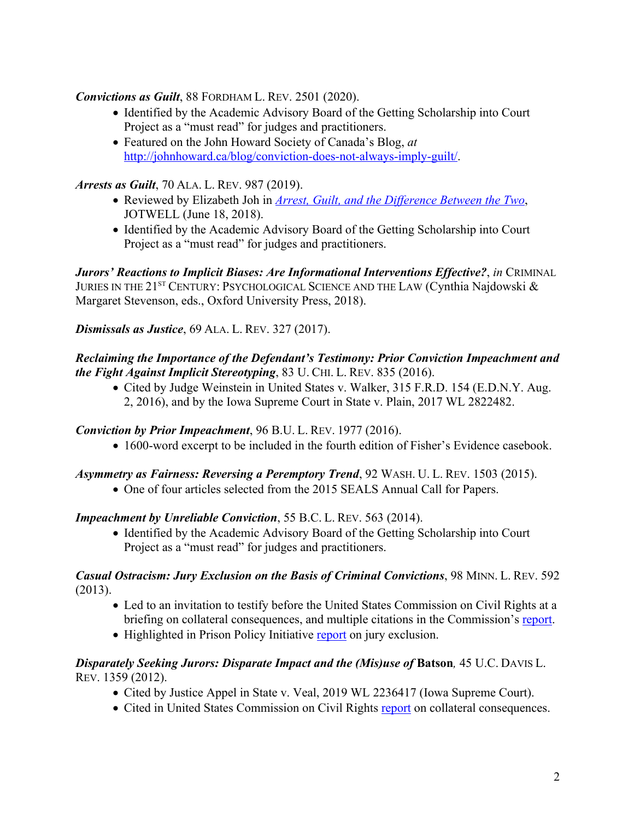#### *Convictions as Guilt*, 88 FORDHAM L. REV. 2501 (2020).

- Identified by the Academic Advisory Board of the Getting Scholarship into Court Project as a "must read" for judges and practitioners.
- Featured on the John Howard Society of Canada's Blog, *at* http://johnhoward.ca/blog/conviction-does-not-always-imply-guilt/.

### *Arrests as Guilt*, 70 ALA. L. REV. 987 (2019).

- Reviewed by Elizabeth Joh in *Arrest, Guilt, and the Difference Between the Two*, JOTWELL (June 18, 2018).
- Identified by the Academic Advisory Board of the Getting Scholarship into Court Project as a "must read" for judges and practitioners.

*Jurors' Reactions to Implicit Biases: Are Informational Interventions Effective?*, *in* CRIMINAL JURIES IN THE 21<sup>ST</sup> CENTURY: PSYCHOLOGICAL SCIENCE AND THE LAW (Cynthia Najdowski & Margaret Stevenson, eds., Oxford University Press, 2018).

### *Dismissals as Justice*, 69 ALA. L. REV. 327 (2017).

#### *Reclaiming the Importance of the Defendant's Testimony: Prior Conviction Impeachment and the Fight Against Implicit Stereotyping*, 83 U. CHI. L. REV. 835 (2016).

• Cited by Judge Weinstein in United States v. Walker, 315 F.R.D. 154 (E.D.N.Y. Aug. 2, 2016), and by the Iowa Supreme Court in State v. Plain, 2017 WL 2822482.

#### *Conviction by Prior Impeachment*, 96 B.U. L. REV. 1977 (2016).

• 1600-word excerpt to be included in the fourth edition of Fisher's Evidence casebook.

#### *Asymmetry as Fairness: Reversing a Peremptory Trend*, 92 WASH. U. L. REV. 1503 (2015).

• One of four articles selected from the 2015 SEALS Annual Call for Papers.

#### *Impeachment by Unreliable Conviction*, 55 B.C. L. REV. 563 (2014).

• Identified by the Academic Advisory Board of the Getting Scholarship into Court Project as a "must read" for judges and practitioners.

#### *Casual Ostracism: Jury Exclusion on the Basis of Criminal Convictions*, 98 MINN. L. REV. 592 (2013).

- Led to an invitation to testify before the United States Commission on Civil Rights at a briefing on collateral consequences, and multiple citations in the Commission's report.
- Highlighted in Prison Policy Initiative report on jury exclusion.

#### *Disparately Seeking Jurors: Disparate Impact and the (Mis)use of Batson, 45 U.C. DAVIS L.* REV. 1359 (2012).

- Cited by Justice Appel in State v. Veal, 2019 WL 2236417 (Iowa Supreme Court).
- Cited in United States Commission on Civil Rights report on collateral consequences.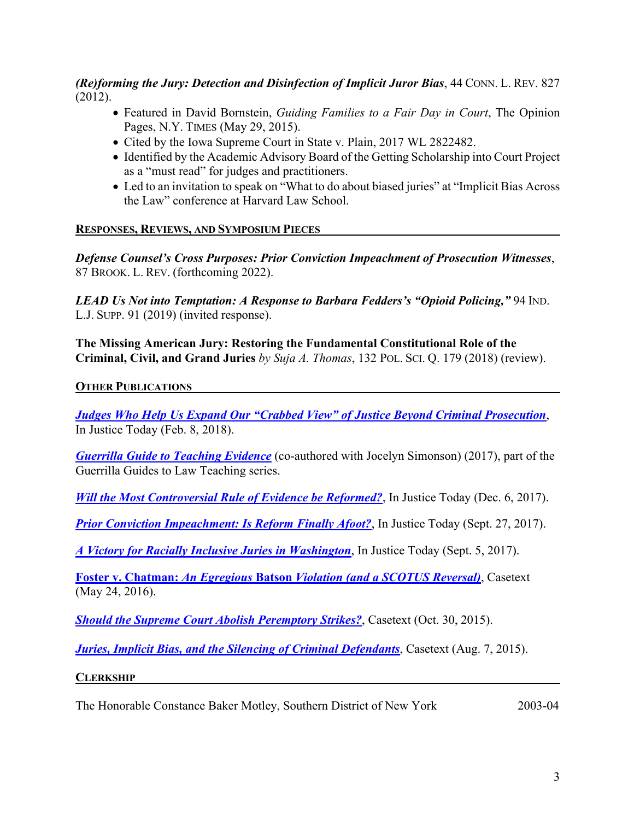#### *(Re)forming the Jury: Detection and Disinfection of Implicit Juror Bias*, 44 CONN. L. REV. 827 (2012).

- Featured in David Bornstein, *Guiding Families to a Fair Day in Court*, The Opinion Pages, N.Y. TIMES (May 29, 2015).
- Cited by the Iowa Supreme Court in State v. Plain, 2017 WL 2822482.
- Identified by the Academic Advisory Board of the Getting Scholarship into Court Project as a "must read" for judges and practitioners.
- Led to an invitation to speak on "What to do about biased juries" at "Implicit Bias Across" the Law" conference at Harvard Law School.

#### **RESPONSES, REVIEWS, AND SYMPOSIUM PIECES**

*Defense Counsel's Cross Purposes: Prior Conviction Impeachment of Prosecution Witnesses*, 87 BROOK. L. REV. (forthcoming 2022).

*LEAD Us Not into Temptation: A Response to Barbara Fedders's "Opioid Policing,"* 94 IND. L.J. SUPP. 91 (2019) (invited response).

**The Missing American Jury: Restoring the Fundamental Constitutional Role of the Criminal, Civil, and Grand Juries** *by Suja A. Thomas*, 132 POL. SCI. Q. 179 (2018) (review).

#### **OTHER PUBLICATIONS**

*Judges Who Help Us Expand Our "Crabbed View" of Justice Beyond Criminal Prosecution*, In Justice Today (Feb. 8, 2018).

*Guerrilla Guide to Teaching Evidence* (co-authored with Jocelyn Simonson) (2017), part of the Guerrilla Guides to Law Teaching series.

*Will the Most Controversial Rule of Evidence be Reformed?*, In Justice Today (Dec. 6, 2017).

**Prior Conviction Impeachment: Is Reform Finally Afoot?**, In Justice Today (Sept. 27, 2017).

*A Victory for Racially Inclusive Juries in Washington*, In Justice Today (Sept. 5, 2017).

**Foster v. Chatman:** *An Egregious* **Batson** *Violation (and a SCOTUS Reversal)*, Casetext (May 24, 2016).

**Should the Supreme Court Abolish Peremptory Strikes?**, Casetext (Oct. 30, 2015).

*Juries, Implicit Bias, and the Silencing of Criminal Defendants, Casetext (Aug. 7, 2015).* 

#### **CLERKSHIP**

The Honorable Constance Baker Motley, Southern District of New York 2003-04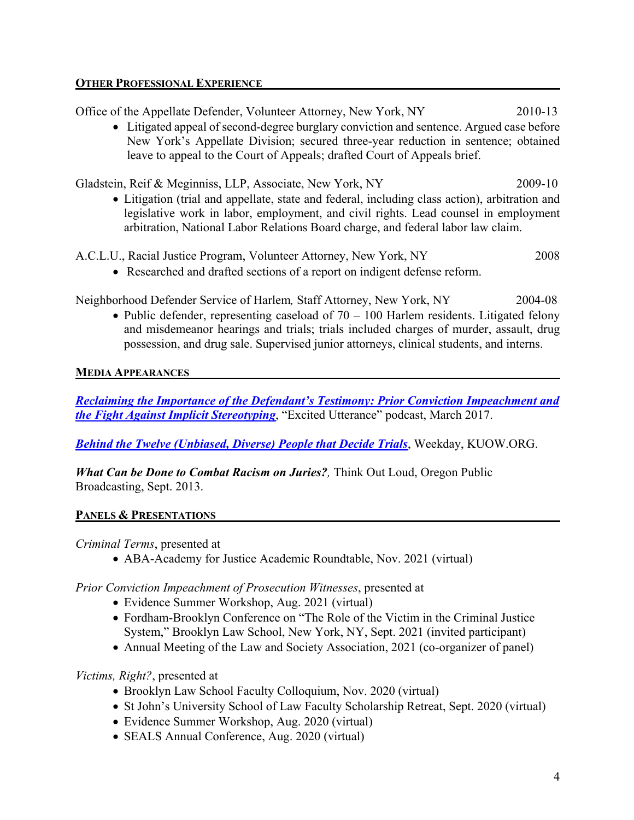#### **OTHER PROFESSIONAL EXPERIENCE**

Office of the Appellate Defender, Volunteer Attorney, New York, NY2010-13

• Litigated appeal of second-degree burglary conviction and sentence. Argued case before New York's Appellate Division; secured three-year reduction in sentence; obtained leave to appeal to the Court of Appeals; drafted Court of Appeals brief.

Gladstein, Reif & Meginniss, LLP, Associate, New York, NY 2009-10

- Litigation (trial and appellate, state and federal, including class action), arbitration and legislative work in labor, employment, and civil rights. Lead counsel in employment arbitration, National Labor Relations Board charge, and federal labor law claim.
- A.C.L.U., Racial Justice Program, Volunteer Attorney, New York, NY2008
	- Researched and drafted sections of a report on indigent defense reform.

Neighborhood Defender Service of Harlem*,* Staff Attorney, New York, NY 2004-08

• Public defender, representing caseload of  $70 - 100$  Harlem residents. Litigated felony and misdemeanor hearings and trials; trials included charges of murder, assault, drug possession, and drug sale. Supervised junior attorneys, clinical students, and interns.

#### **MEDIA APPEARANCES**

*Reclaiming the Importance of the Defendant's Testimony: Prior Conviction Impeachment and the Fight Against Implicit Stereotyping*, "Excited Utterance" podcast, March 2017.

*Behind the Twelve (Unbiased, Diverse) People that Decide Trials*, Weekday, KUOW.ORG.

*What Can be Done to Combat Racism on Juries?,* Think Out Loud, Oregon Public Broadcasting, Sept. 2013.

#### **PANELS & PRESENTATIONS**

*Criminal Terms*, presented at

• ABA-Academy for Justice Academic Roundtable, Nov. 2021 (virtual)

*Prior Conviction Impeachment of Prosecution Witnesses*, presented at

- Evidence Summer Workshop, Aug. 2021 (virtual)
- Fordham-Brooklyn Conference on "The Role of the Victim in the Criminal Justice System," Brooklyn Law School, New York, NY, Sept. 2021 (invited participant)
- Annual Meeting of the Law and Society Association, 2021 (co-organizer of panel)

*Victims, Right?*, presented at

- Brooklyn Law School Faculty Colloquium, Nov. 2020 (virtual)
- St John's University School of Law Faculty Scholarship Retreat, Sept. 2020 (virtual)
- Evidence Summer Workshop, Aug. 2020 (virtual)
- SEALS Annual Conference, Aug. 2020 (virtual)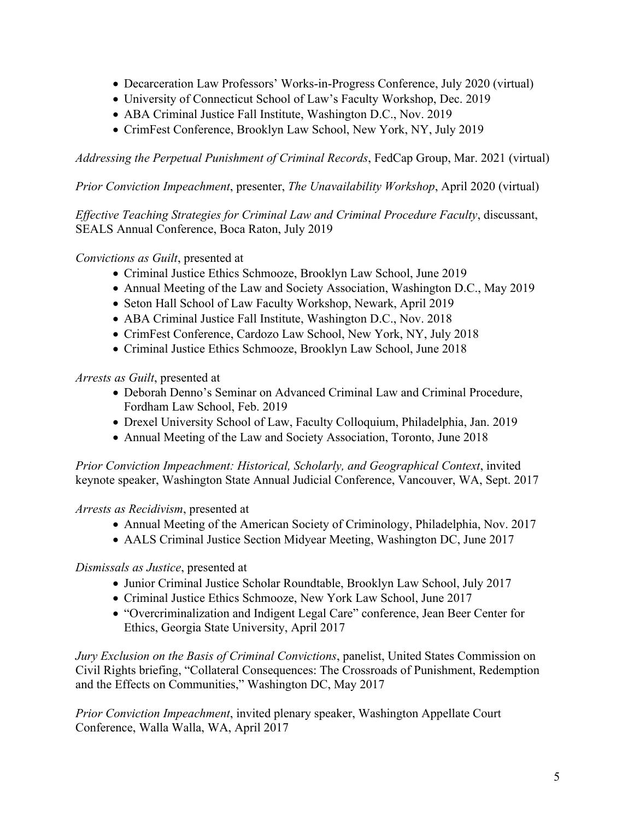- Decarceration Law Professors' Works-in-Progress Conference, July 2020 (virtual)
- University of Connecticut School of Law's Faculty Workshop, Dec. 2019
- ABA Criminal Justice Fall Institute, Washington D.C., Nov. 2019
- CrimFest Conference, Brooklyn Law School, New York, NY, July 2019

*Addressing the Perpetual Punishment of Criminal Records*, FedCap Group, Mar. 2021 (virtual)

*Prior Conviction Impeachment*, presenter, *The Unavailability Workshop*, April 2020 (virtual)

*Effective Teaching Strategies for Criminal Law and Criminal Procedure Faculty*, discussant, SEALS Annual Conference, Boca Raton, July 2019

#### *Convictions as Guilt*, presented at

- Criminal Justice Ethics Schmooze, Brooklyn Law School, June 2019
- Annual Meeting of the Law and Society Association, Washington D.C., May 2019
- Seton Hall School of Law Faculty Workshop, Newark, April 2019
- ABA Criminal Justice Fall Institute, Washington D.C., Nov. 2018
- CrimFest Conference, Cardozo Law School, New York, NY, July 2018
- Criminal Justice Ethics Schmooze, Brooklyn Law School, June 2018

*Arrests as Guilt*, presented at

- Deborah Denno's Seminar on Advanced Criminal Law and Criminal Procedure, Fordham Law School, Feb. 2019
- Drexel University School of Law, Faculty Colloquium, Philadelphia, Jan. 2019
- Annual Meeting of the Law and Society Association, Toronto, June 2018

*Prior Conviction Impeachment: Historical, Scholarly, and Geographical Context*, invited keynote speaker, Washington State Annual Judicial Conference, Vancouver, WA, Sept. 2017

*Arrests as Recidivism*, presented at

- Annual Meeting of the American Society of Criminology, Philadelphia, Nov. 2017
- AALS Criminal Justice Section Midyear Meeting, Washington DC, June 2017

*Dismissals as Justice*, presented at

- Junior Criminal Justice Scholar Roundtable, Brooklyn Law School, July 2017
- Criminal Justice Ethics Schmooze, New York Law School, June 2017
- "Overcriminalization and Indigent Legal Care" conference, Jean Beer Center for Ethics, Georgia State University, April 2017

*Jury Exclusion on the Basis of Criminal Convictions*, panelist, United States Commission on Civil Rights briefing, "Collateral Consequences: The Crossroads of Punishment, Redemption and the Effects on Communities," Washington DC, May 2017

*Prior Conviction Impeachment*, invited plenary speaker, Washington Appellate Court Conference, Walla Walla, WA, April 2017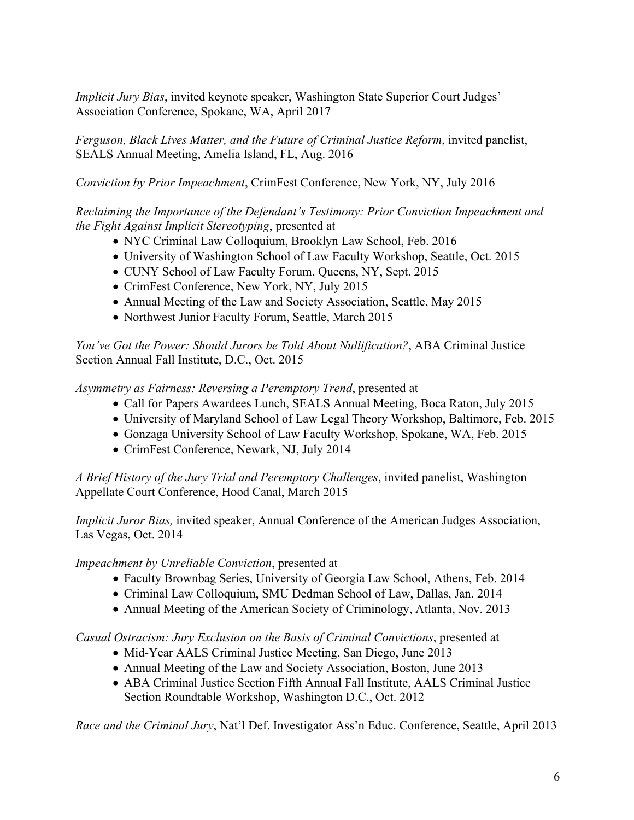*Implicit Jury Bias*, invited keynote speaker, Washington State Superior Court Judges' Association Conference, Spokane, WA, April 2017

*Ferguson, Black Lives Matter, and the Future of Criminal Justice Reform*, invited panelist, SEALS Annual Meeting, Amelia Island, FL, Aug. 2016

*Conviction by Prior Impeachment*, CrimFest Conference, New York, NY, July 2016

*Reclaiming the Importance of the Defendant's Testimony: Prior Conviction Impeachment and the Fight Against Implicit Stereotyping*, presented at

- NYC Criminal Law Colloquium, Brooklyn Law School, Feb. 2016
- University of Washington School of Law Faculty Workshop, Seattle, Oct. 2015
- CUNY School of Law Faculty Forum, Queens, NY, Sept. 2015
- CrimFest Conference, New York, NY, July 2015
- Annual Meeting of the Law and Society Association, Seattle, May 2015
- Northwest Junior Faculty Forum, Seattle, March 2015

*You've Got the Power: Should Jurors be Told About Nullification?*, ABA Criminal Justice Section Annual Fall Institute, D.C., Oct. 2015

*Asymmetry as Fairness: Reversing a Peremptory Trend*, presented at

- Call for Papers Awardees Lunch, SEALS Annual Meeting, Boca Raton, July 2015
- University of Maryland School of Law Legal Theory Workshop, Baltimore, Feb. 2015
- Gonzaga University School of Law Faculty Workshop, Spokane, WA, Feb. 2015
- CrimFest Conference, Newark, NJ, July 2014

*A Brief History of the Jury Trial and Peremptory Challenges*, invited panelist, Washington Appellate Court Conference, Hood Canal, March 2015

*Implicit Juror Bias,* invited speaker, Annual Conference of the American Judges Association, Las Vegas, Oct. 2014

*Impeachment by Unreliable Conviction*, presented at

- Faculty Brownbag Series, University of Georgia Law School, Athens, Feb. 2014
- Criminal Law Colloquium, SMU Dedman School of Law, Dallas, Jan. 2014
- Annual Meeting of the American Society of Criminology, Atlanta, Nov. 2013

*Casual Ostracism: Jury Exclusion on the Basis of Criminal Convictions*, presented at

- Mid-Year AALS Criminal Justice Meeting, San Diego, June 2013
- Annual Meeting of the Law and Society Association, Boston, June 2013
- ABA Criminal Justice Section Fifth Annual Fall Institute, AALS Criminal Justice Section Roundtable Workshop, Washington D.C., Oct. 2012

*Race and the Criminal Jury*, Nat'l Def. Investigator Ass'n Educ. Conference, Seattle, April 2013